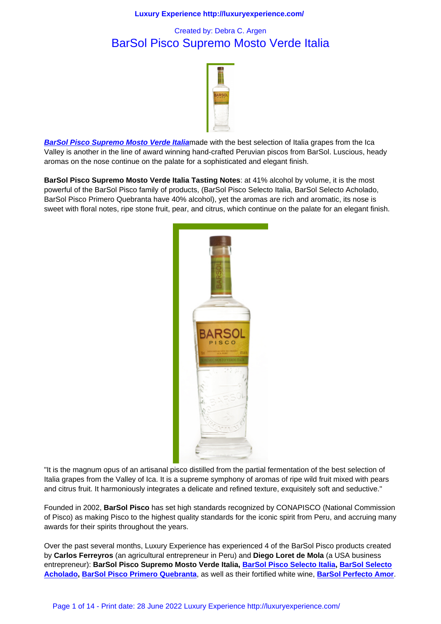# BarSol Pisco Supremo Mosto Verde Italia



**BarSol Pisco Supremo Mosto Verde Italia**made with the best selection of Italia grapes from the Ica Valley is another in the line of award winning hand-crafted Peruvian piscos from BarSol. Luscious, heady aromas on the nose continue on the palate for a sophisticated and elegant finish.

**[BarSol Pisco Supremo Mosto Verde Italia](http://www.barsolpisco.com/) Tasting Notes**: at 41% alcohol by volume, it is the most powerful of the BarSol Pisco family of products, (BarSol Pisco Selecto Italia, BarSol Selecto Acholado, BarSol Pisco Primero Quebranta have 40% alcohol), yet the aromas are rich and aromatic, its nose is sweet with floral notes, ripe stone fruit, pear, and citrus, which continue on the palate for an elegant finish.



"It is the magnum opus of an artisanal pisco distilled from the partial fermentation of the best selection of Italia grapes from the Valley of Ica. It is a supreme symphony of aromas of ripe wild fruit mixed with pears and citrus fruit. It harmoniously integrates a delicate and refined texture, exquisitely soft and seductive."

Founded in 2002, **BarSol Pisco** has set high standards recognized by CONAPISCO (National Commission of Pisco) as making Pisco to the highest quality standards for the iconic spirit from Peru, and accruing many awards for their spirits throughout the years.

Over the past several months, Luxury Experience has experienced 4 of the BarSol Pisco products created by **Carlos Ferreyros** (an agricultural entrepreneur in Peru) and **Diego Loret de Mola** (a USA business entrepreneur): **BarSol Pisco Supremo Mosto Verde Italia, BarSol Pisco Selecto Italia, BarSol Selecto Acholado, BarSol Pisco Primero Quebranta**, as well as their fortified white wine, **BarSol Perfecto Amor**.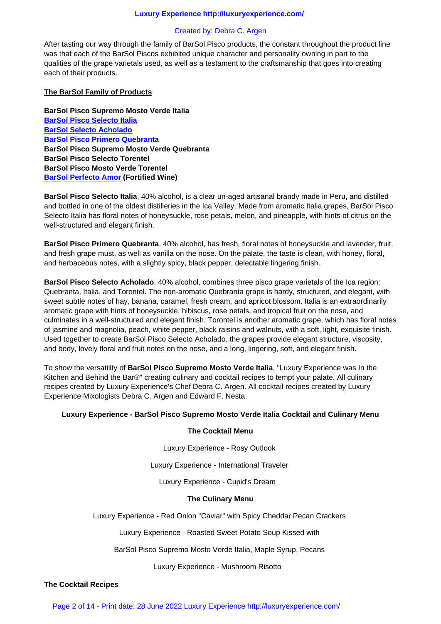After tasting our way through the family of BarSol Pisco products, the constant throughout the product line was that each of the BarSol Piscos exhibited unique character and personality owning in part to the qualities of the grape varietals used, as well as a testament to the craftsmanship that goes into creating each of their products.

## **The BarSol Family of Products**

**BarSol Pisco Supremo Mosto Verde Italia BarSol Pisco Selecto Italia BarSol Selecto Acholado BarSol Pisco Primero Quebranta BarSol Pisco Supremo Mosto Verde Quebranta [BarSol Pisco Selecto Toren](liquor_cabinet/liquors/barsol_pisco_selecto_italia.html)tel [BarSol Pisco Mosto Verd](liquor_cabinet/liquors/barsol_pisco_selecto_acholado.html)e Torentel [BarSol Perfecto Amor \(Fortified W](liquor_cabinet/liquors/barsol_pisco.html)ine)**

**BarSol Pisco Selecto Italia**, 40% alcohol, is a clear un-aged artisanal brandy made in Peru, and distilled and bottled in one of the oldest distilleries in the Ica Valley. Made from aromatic Italia grapes, BarSol Pisco [Selecto Italia has floral n](liquor_cabinet/liquors/barsol_perfecto_amor.html)otes of honeysuckle, rose petals, melon, and pineapple, with hints of citrus on the well-structured and elegant finish.

**BarSol Pisco Primero Quebranta**, 40% alcohol, has fresh, floral notes of honeysuckle and lavender, fruit, and fresh grape must, as well as vanilla on the nose. On the palate, the taste is clean, with honey, floral, and herbaceous notes, with a slightly spicy, black pepper, delectable lingering finish.

**BarSol Pisco Selecto Acholado**, 40% alcohol, combines three pisco grape varietals of the Ica region: Quebranta, Italia, and Torontel. The non-aromatic Quebranta grape is hardy, structured, and elegant, with sweet subtle notes of hay, banana, caramel, fresh cream, and apricot blossom. Italia is an extraordinarily aromatic grape with hints of honeysuckle, hibiscus, rose petals, and tropical fruit on the nose, and culminates in a well-structured and elegant finish. Torontel is another aromatic grape, which has floral notes of jasmine and magnolia, peach, white pepper, black raisins and walnuts, with a soft, light, exquisite finish. Used together to create BarSol Pisco Selecto Acholado, the grapes provide elegant structure, viscosity, and body, lovely floral and fruit notes on the nose, and a long, lingering, soft, and elegant finish.

To show the versatility of **BarSol Pisco Supremo Mosto Verde Italia**, "Luxury Experience was In the Kitchen and Behind the Bar®" creating culinary and cocktail recipes to tempt your palate. All culinary recipes created by Luxury Experience's Chef Debra C. Argen. All cocktail recipes created by Luxury Experience Mixologists Debra C. Argen and Edward F. Nesta.

#### **Luxury Experience - BarSol Pisco Supremo Mosto Verde Italia Cocktail and Culinary Menu**

#### **The Cocktail Menu**

Luxury Experience - Rosy Outlook

Luxury Experience - International Traveler

Luxury Experience - Cupid's Dream 

#### **The Culinary Menu**

Luxury Experience - Red Onion "Caviar" with Spicy Cheddar Pecan Crackers

Luxury Experience - Roasted Sweet Potato Soup Kissed with

BarSol Pisco Supremo Mosto Verde Italia, Maple Syrup, Pecans

Luxury Experience - Mushroom Risotto 

#### **The Cocktail Recipes**

Page 2 of 14 - Print date: 28 June 2022 Luxury Experience http://luxuryexperience.com/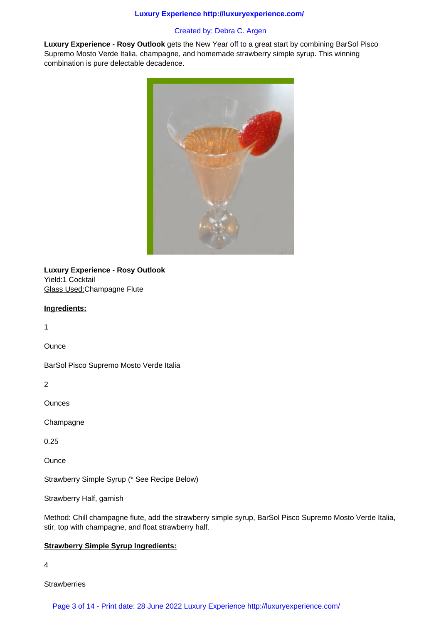# Created by: Debra C. Argen

**Luxury Experience - Rosy Outlook** gets the New Year off to a great start by combining BarSol Pisco Supremo Mosto Verde Italia, champagne, and homemade strawberry simple syrup. This winning combination is pure delectable decadence.



**Luxury Experience - Rosy Outlook** Yield:1 Cocktail Glass Used:Champagne Flute

#### **Ingredients:**

1

**Ounce** 

BarSol Pisco Supremo Mosto Verde Italia

2

**Ounces** 

**Champagne** 

0.25

**Ounce** 

Strawberry Simple Syrup (\* See Recipe Below)

Strawberry Half, garnish

Method: Chill champagne flute, add the strawberry simple syrup, BarSol Pisco Supremo Mosto Verde Italia, stir, top with champagne, and float strawberry half.

#### **Strawberry Simple Syrup Ingredients:**

4

**Strawberries** 

Page 3 of 14 - Print date: 28 June 2022 Luxury Experience http://luxuryexperience.com/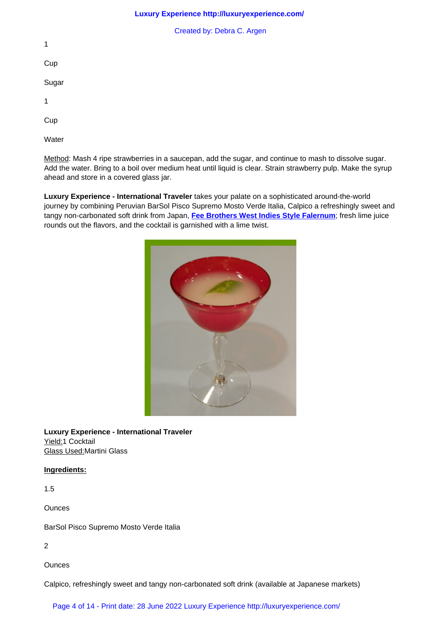**Cup** 

1

Sugar

1

Cup

**Water** 

Method: Mash 4 ripe strawberries in a saucepan, add the sugar, and continue to mash to dissolve sugar. Add the water. Bring to a boil over medium heat until liquid is clear. Strain strawberry pulp. Make the syrup ahead and store in a covered glass jar.

**Luxury Experience - International Traveler** takes your palate on a sophisticated around-the-world journey by combining Peruvian BarSol Pisco Supremo Mosto Verde Italia, Calpico a refreshingly sweet and tangy non-carbonated soft drink from Japan, **Fee Brothers West Indies Style Falernum**; fresh lime juice rounds out the flavors, and the cocktail is garnished with a lime twist.



**Luxury Experience - International Traveler** Yield:1 Cocktail Glass Used:Martini Glass

# **Ingredients:**

1.5

**Ounces** 

BarSol Pisco Supremo Mosto Verde Italia

2

**Ounces** 

Calpico, refreshingly sweet and tangy non-carbonated soft drink (available at Japanese markets)

Page 4 of 14 - Print date: 28 June 2022 Luxury Experience http://luxuryexperience.com/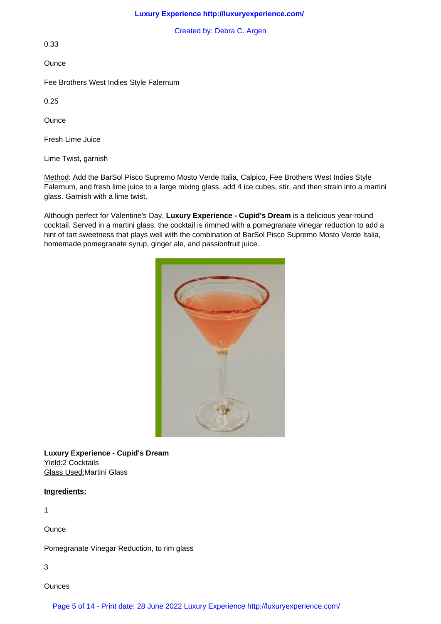Created by: Debra C. Argen

0.33

**Ounce** 

Fee Brothers West Indies Style Falernum

0.25

**Ounce** 

Fresh Lime Juice

Lime Twist, garnish

Method: Add the BarSol Pisco Supremo Mosto Verde Italia, Calpico, Fee Brothers West Indies Style Falernum, and fresh lime juice to a large mixing glass, add 4 ice cubes, stir, and then strain into a martini glass. Garnish with a lime twist.

Although perfect for Valentine's Day, **Luxury Experience - Cupid's Dream** is a delicious year-round cocktail. Served in a martini glass, the cocktail is rimmed with a pomegranate vinegar reduction to add a hint of tart sweetness that plays well with the combination of BarSol Pisco Supremo Mosto Verde Italia, homemade pomegranate syrup, ginger ale, and passionfruit juice.



**Luxury Experience - Cupid's Dream** Yield:2 Cocktails Glass Used:Martini Glass

## **Ingredients:**

1

**Ounce** 

Pomegranate Vinegar Reduction, to rim glass

3

**Ounces**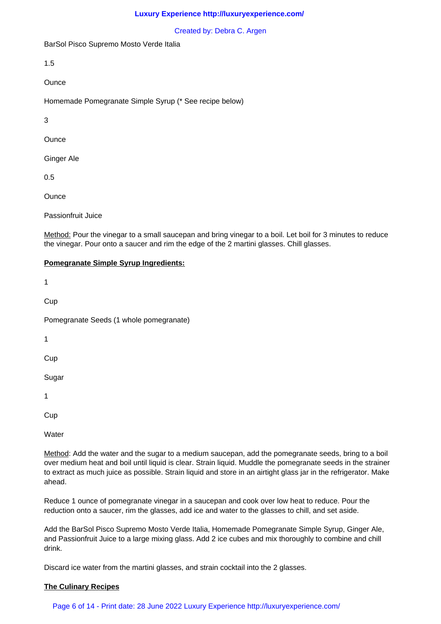#### Created by: Debra C. Argen

BarSol Pisco Supremo Mosto Verde Italia

1.5

**Ounce** 

Homemade Pomegranate Simple Syrup (\* See recipe below)

3

**Ounce** 

Ginger Ale

0.5

**Ounce** 

Passionfruit Juice

Method: Pour the vinegar to a small saucepan and bring vinegar to a boil. Let boil for 3 minutes to reduce the vinegar. Pour onto a saucer and rim the edge of the 2 martini glasses. Chill glasses.

## **Pomegranate Simple Syrup Ingredients:**

1

**Cup** 

Pomegranate Seeds (1 whole pomegranate)

1

**Cup** 

Sugar

1

Cup

**Water** 

Method: Add the water and the sugar to a medium saucepan, add the pomegranate seeds, bring to a boil over medium heat and boil until liquid is clear. Strain liquid. Muddle the pomegranate seeds in the strainer to extract as much juice as possible. Strain liquid and store in an airtight glass jar in the refrigerator. Make ahead.

Reduce 1 ounce of pomegranate vinegar in a saucepan and cook over low heat to reduce. Pour the reduction onto a saucer, rim the glasses, add ice and water to the glasses to chill, and set aside.

Add the BarSol Pisco Supremo Mosto Verde Italia, Homemade Pomegranate Simple Syrup, Ginger Ale, and Passionfruit Juice to a large mixing glass. Add 2 ice cubes and mix thoroughly to combine and chill drink.

Discard ice water from the martini glasses, and strain cocktail into the 2 glasses.

## **The Culinary Recipes**

Page 6 of 14 - Print date: 28 June 2022 Luxury Experience http://luxuryexperience.com/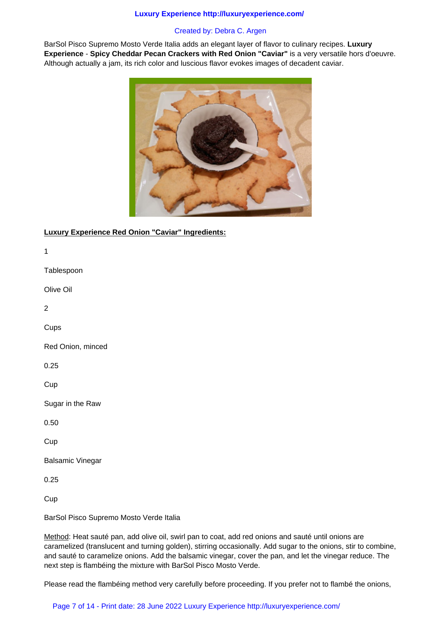# Created by: Debra C. Argen

BarSol Pisco Supremo Mosto Verde Italia adds an elegant layer of flavor to culinary recipes. **Luxury Experience** - **Spicy Cheddar Pecan Crackers with Red Onion "Caviar"** is a very versatile hors d'oeuvre. Although actually a jam, its rich color and luscious flavor evokes images of decadent caviar.



# **Luxury Experience Red Onion "Caviar" Ingredients:**

1 **Tablespoon** Olive Oil 2 **Cups** Red Onion, minced 0.25

**Cup** 

Sugar in the Raw

0.50

Cup

Balsamic Vinegar

0.25

**Cup** 

BarSol Pisco Supremo Mosto Verde Italia

Method: Heat sauté pan, add olive oil, swirl pan to coat, add red onions and sauté until onions are caramelized (translucent and turning golden), stirring occasionally. Add sugar to the onions, stir to combine, and sauté to caramelize onions. Add the balsamic vinegar, cover the pan, and let the vinegar reduce. The next step is flambéing the mixture with BarSol Pisco Mosto Verde.

Please read the flambéing method very carefully before proceeding. If you prefer not to flambé the onions,

# Page 7 of 14 - Print date: 28 June 2022 Luxury Experience http://luxuryexperience.com/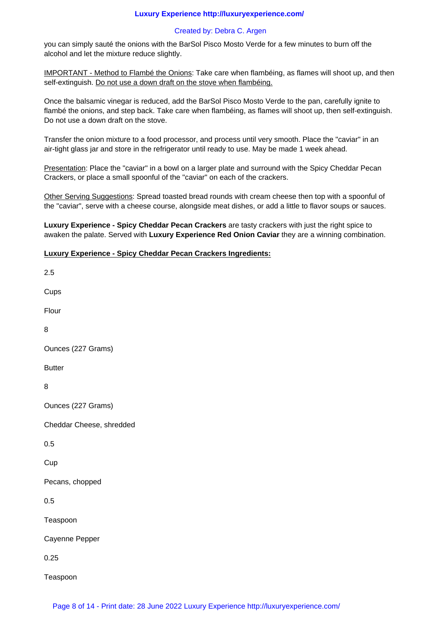## Created by: Debra C. Argen

you can simply sauté the onions with the BarSol Pisco Mosto Verde for a few minutes to burn off the alcohol and let the mixture reduce slightly.

IMPORTANT - Method to Flambé the Onions: Take care when flambéing, as flames will shoot up, and then self-extinguish. Do not use a down draft on the stove when flambéing.

Once the balsamic vinegar is reduced, add the BarSol Pisco Mosto Verde to the pan, carefully ignite to flambé the onions, and step back. Take care when flambéing, as flames will shoot up, then self-extinguish. Do not use a down draft on the stove.

Transfer the onion mixture to a food processor, and process until very smooth. Place the "caviar" in an air-tight glass jar and store in the refrigerator until ready to use. May be made 1 week ahead.

Presentation: Place the "caviar" in a bowl on a larger plate and surround with the Spicy Cheddar Pecan Crackers, or place a small spoonful of the "caviar" on each of the crackers.

Other Serving Suggestions: Spread toasted bread rounds with cream cheese then top with a spoonful of the "caviar", serve with a cheese course, alongside meat dishes, or add a little to flavor soups or sauces.

**Luxury Experience - Spicy Cheddar Pecan Crackers** are tasty crackers with just the right spice to awaken the palate. Served with **Luxury Experience Red Onion Caviar** they are a winning combination.

## **Luxury Experience - Spicy Cheddar Pecan Crackers Ingredients:**

2.5 **Cups** Flour 8 Ounces (227 Grams) Butter 8 Ounces (227 Grams) Cheddar Cheese, shredded 0.5 Cup Pecans, chopped 0.5 Teaspoon Cayenne Pepper 0.25 Teaspoon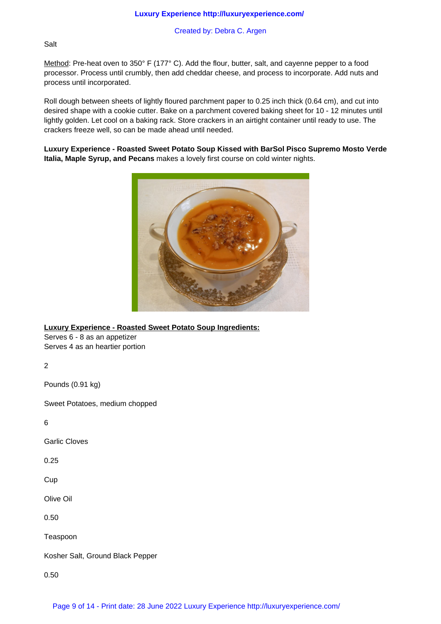Created by: Debra C. Argen

# Salt

Method: Pre-heat oven to 350° F (177° C). Add the flour, butter, salt, and cayenne pepper to a food processor. Process until crumbly, then add cheddar cheese, and process to incorporate. Add nuts and process until incorporated.

Roll dough between sheets of lightly floured parchment paper to 0.25 inch thick (0.64 cm), and cut into desired shape with a cookie cutter. Bake on a parchment covered baking sheet for 10 - 12 minutes until lightly golden. Let cool on a baking rack. Store crackers in an airtight container until ready to use. The crackers freeze well, so can be made ahead until needed.

**Luxury Experience - Roasted Sweet Potato Soup Kissed with BarSol Pisco Supremo Mosto Verde Italia, Maple Syrup, and Pecans** makes a lovely first course on cold winter nights.



**Luxury Experience - Roasted Sweet Potato Soup Ingredients:**

Serves 6 - 8 as an appetizer Serves 4 as an heartier portion

2

Pounds (0.91 kg)

Sweet Potatoes, medium chopped

6

Garlic Cloves

0.25

**Cup** 

Olive Oil

0.50

Teaspoon

Kosher Salt, Ground Black Pepper

0.50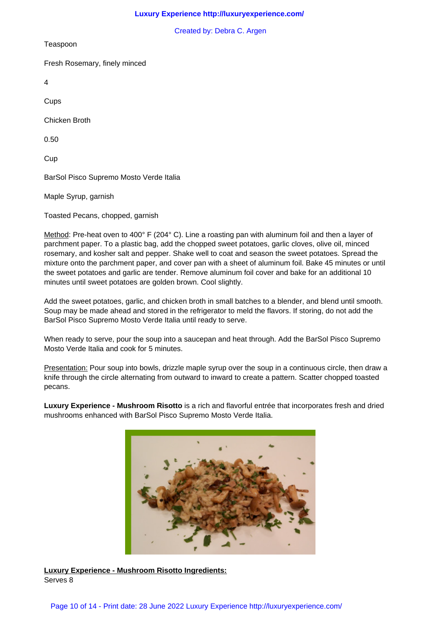Created by: Debra C. Argen

Teaspoon

Fresh Rosemary, finely minced

4

Cups

Chicken Broth

0.50

**Cup** 

BarSol Pisco Supremo Mosto Verde Italia

Maple Syrup, garnish

Toasted Pecans, chopped, garnish

Method: Pre-heat oven to 400° F (204° C). Line a roasting pan with aluminum foil and then a layer of parchment paper. To a plastic bag, add the chopped sweet potatoes, garlic cloves, olive oil, minced rosemary, and kosher salt and pepper. Shake well to coat and season the sweet potatoes. Spread the mixture onto the parchment paper, and cover pan with a sheet of aluminum foil. Bake 45 minutes or until the sweet potatoes and garlic are tender. Remove aluminum foil cover and bake for an additional 10 minutes until sweet potatoes are golden brown. Cool slightly.

Add the sweet potatoes, garlic, and chicken broth in small batches to a blender, and blend until smooth. Soup may be made ahead and stored in the refrigerator to meld the flavors. If storing, do not add the BarSol Pisco Supremo Mosto Verde Italia until ready to serve.

When ready to serve, pour the soup into a saucepan and heat through. Add the BarSol Pisco Supremo Mosto Verde Italia and cook for 5 minutes.

Presentation: Pour soup into bowls, drizzle maple syrup over the soup in a continuous circle, then draw a knife through the circle alternating from outward to inward to create a pattern. Scatter chopped toasted pecans.

**Luxury Experience - Mushroom Risotto** is a rich and flavorful entrée that incorporates fresh and dried mushrooms enhanced with BarSol Pisco Supremo Mosto Verde Italia.



**Luxury Experience - Mushroom Risotto Ingredients:** Serves 8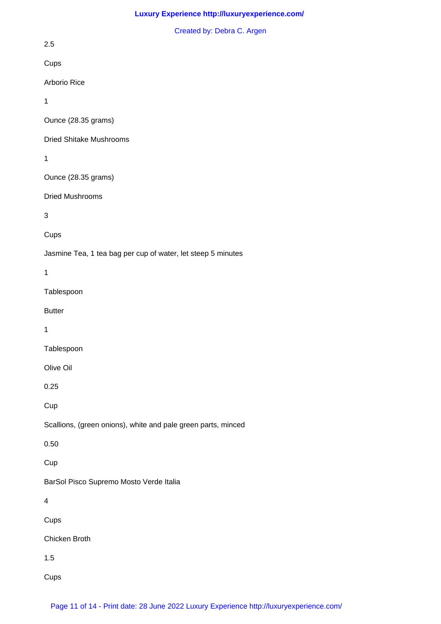## Created by: Debra C. Argen

2.5

Cups

Arborio Rice

1

Ounce (28.35 grams)

Dried Shitake Mushrooms

1

Ounce (28.35 grams)

Dried Mushrooms

3

**Cups** 

Jasmine Tea, 1 tea bag per cup of water, let steep 5 minutes

1

Tablespoon

**Butter** 

1

**Tablespoon** 

Olive Oil

0.25

**Cup** 

Scallions, (green onions), white and pale green parts, minced

0.50

Cup

BarSol Pisco Supremo Mosto Verde Italia

4

Cups

Chicken Broth

1.5

**Cups**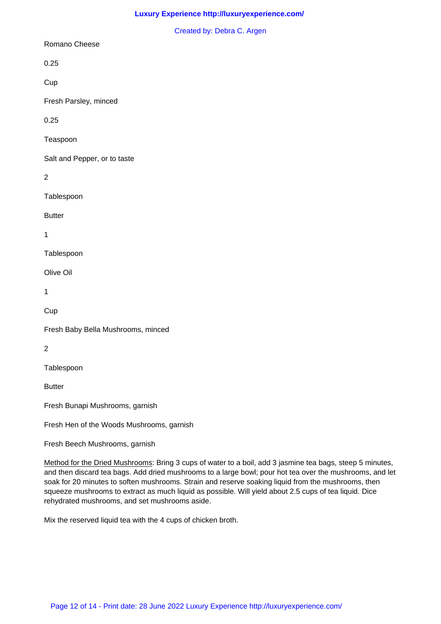#### Created by: Debra C. Argen

## Romano Cheese

0.25

**Cup** 

Fresh Parsley, minced

0.25

Teaspoon

Salt and Pepper, or to taste

2

Tablespoon

**Butter** 

1

Tablespoon

Olive Oil

1

Cup

Fresh Baby Bella Mushrooms, minced

2

Tablespoon

**Butter** 

Fresh Bunapi Mushrooms, garnish

Fresh Hen of the Woods Mushrooms, garnish

Fresh Beech Mushrooms, garnish

Method for the Dried Mushrooms: Bring 3 cups of water to a boil, add 3 jasmine tea bags, steep 5 minutes, and then discard tea bags. Add dried mushrooms to a large bowl; pour hot tea over the mushrooms, and let soak for 20 minutes to soften mushrooms. Strain and reserve soaking liquid from the mushrooms, then squeeze mushrooms to extract as much liquid as possible. Will yield about 2.5 cups of tea liquid. Dice rehydrated mushrooms, and set mushrooms aside.

Mix the reserved liquid tea with the 4 cups of chicken broth.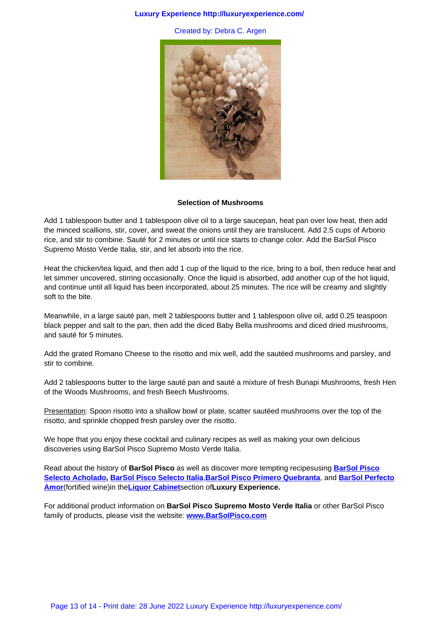

#### **Selection of Mushrooms**

Add 1 tablespoon butter and 1 tablespoon olive oil to a large saucepan, heat pan over low heat, then add the minced scallions, stir, cover, and sweat the onions until they are translucent. Add 2.5 cups of Arborio rice, and stir to combine. Sauté for 2 minutes or until rice starts to change color. Add the BarSol Pisco Supremo Mosto Verde Italia, stir, and let absorb into the rice.

Heat the chicken/tea liquid, and then add 1 cup of the liquid to the rice, bring to a boil, then reduce heat and let simmer uncovered, stirring occasionally. Once the liquid is absorbed, add another cup of the hot liquid, and continue until all liquid has been incorporated, about 25 minutes. The rice will be creamy and slightly soft to the bite.

Meanwhile, in a large sauté pan, melt 2 tablespoons butter and 1 tablespoon olive oil, add 0.25 teaspoon black pepper and salt to the pan, then add the diced Baby Bella mushrooms and diced dried mushrooms, and sauté for 5 minutes.

Add the grated Romano Cheese to the risotto and mix well, add the sautéed mushrooms and parsley, and stir to combine.

Add 2 tablespoons butter to the large sauté pan and sauté a mixture of fresh Bunapi Mushrooms, fresh Hen of the Woods Mushrooms, and fresh Beech Mushrooms.

Presentation: Spoon risotto into a shallow bowl or plate, scatter sautéed mushrooms over the top of the risotto, and sprinkle chopped fresh parsley over the risotto.

We hope that you enjoy these cocktail and culinary recipes as well as making your own delicious discoveries using BarSol Pisco Supremo Mosto Verde Italia.

Read about the history of **BarSol Pisco** as well as discover more tempting recipesusing **BarSol Pisco Selecto Acholado, BarSol Pisco Selecto Italia**,**BarSol Pisco Primero Quebranta**, and **BarSol Perfecto Amor**(fortified wine)in the**Liquor Cabinet**section of**Luxury Experience.**

For additional product information on **BarSol Pisco Supremo Mosto Verde Italia** or oth[er BarSol Pisc](liquor_cabinet/liquors/barsol_pisco_selecto_acholado.html)o [family of products,](liquor_cabinet/liquors/barsol_pisco_selecto_acholado.html) [please visit the website:](liquor_cabinet/liquors/barsol_pisco_selecto_italia.html) **www[.BarSolPisco.com](liquor_cabinet/liquors/barsol_pisco.html)**